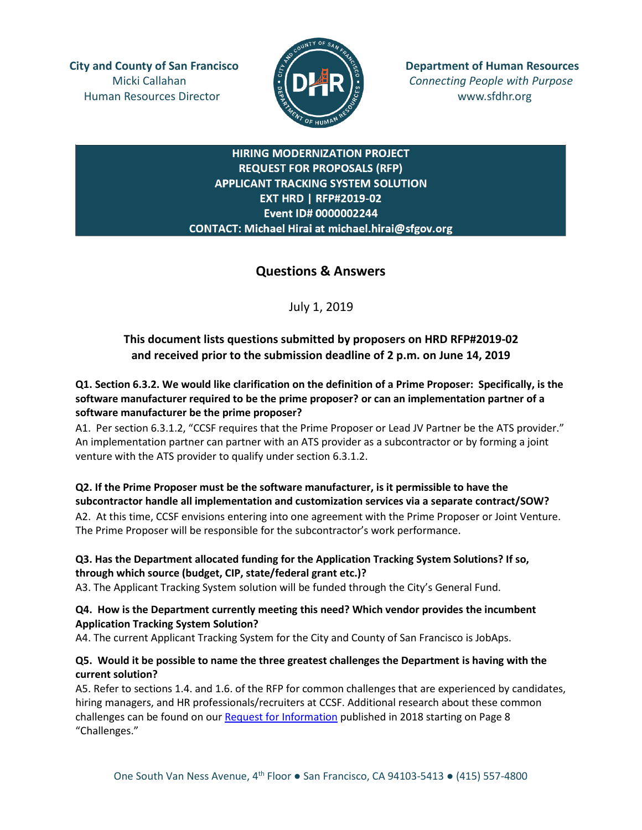Human Resources Director **www.sfdhr.org** 



**City and County of San Francisco Department of Human Resources** Micki Callahan **Connecting People with Purpose** 

# **HIRING MODERNIZATION PROJECT REQUEST FOR PROPOSALS (RFP) APPLICANT TRACKING SYSTEM SOLUTION EXT HRD | RFP#2019-02** Event ID# 0000002244 CONTACT: Michael Hirai at michael.hirai@sfgov.org

# **Questions & Answers**

July 1, 2019

# **This document lists questions submitted by proposers on HRD RFP#2019-02 and received prior to the submission deadline of 2 p.m. on June 14, 2019**

**Q1. Section 6.3.2. We would like clarification on the definition of a Prime Proposer: Specifically, is the software manufacturer required to be the prime proposer? or can an implementation partner of a software manufacturer be the prime proposer?**

A1.Per section 6.3.1.2, "CCSF requires that the Prime Proposer or Lead JV Partner be the ATS provider." An implementation partner can partner with an ATS provider as a subcontractor or by forming a joint venture with the ATS provider to qualify under section 6.3.1.2.

# **Q2. If the Prime Proposer must be the software manufacturer, is it permissible to have the subcontractor handle all implementation and customization services via a separate contract/SOW?**

A2.At this time, CCSF envisions entering into one agreement with the Prime Proposer or Joint Venture. The Prime Proposer will be responsible for the subcontractor's work performance.

# **Q3. Has the Department allocated funding for the Application Tracking System Solutions? If so, through which source (budget, CIP, state/federal grant etc.)?**

A3. The Applicant Tracking System solution will be funded through the City's General Fund.

# **Q4. How is the Department currently meeting this need? Which vendor provides the incumbent Application Tracking System Solution?**

A4. The current Applicant Tracking System for the City and County of San Francisco is JobAps.

# **Q5. Would it be possible to name the three greatest challenges the Department is having with the current solution?**

A5. Refer to sections 1.4. and 1.6. of the RFP for common challenges that are experienced by candidates, hiring managers, and HR professionals/recruiters at CCSF. Additional research about these common challenges can be found on our [Request for Information](https://docs.wixstatic.com/ugd/b6959e_4ee53b5136094042b7e99ac4f5d5867e.pdf) published in 2018 starting on Page 8 "Challenges."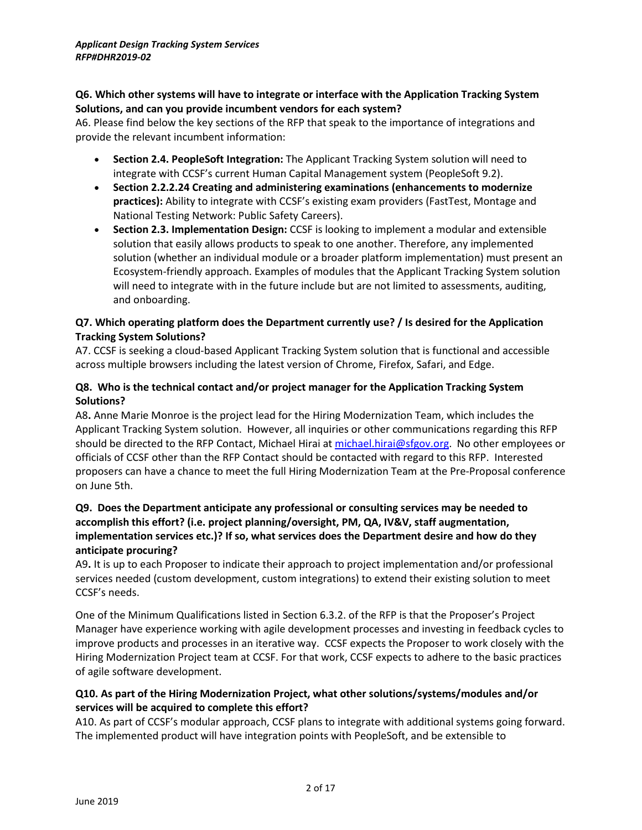## **Q6. Which other systems will have to integrate or interface with the Application Tracking System Solutions, and can you provide incumbent vendors for each system?**

A6. Please find below the key sections of the RFP that speak to the importance of integrations and provide the relevant incumbent information:

- **Section 2.4. PeopleSoft Integration:** The Applicant Tracking System solution will need to integrate with CCSF's current Human Capital Management system (PeopleSoft 9.2).
- **Section 2.2.2.24 Creating and administering examinations (enhancements to modernize practices):** Ability to integrate with CCSF's existing exam providers (FastTest, Montage and National Testing Network: Public Safety Careers).
- **Section 2.3. Implementation Design:** CCSF is looking to implement a modular and extensible solution that easily allows products to speak to one another. Therefore, any implemented solution (whether an individual module or a broader platform implementation) must present an Ecosystem-friendly approach. Examples of modules that the Applicant Tracking System solution will need to integrate with in the future include but are not limited to assessments, auditing, and onboarding.

# **Q7. Which operating platform does the Department currently use? / Is desired for the Application Tracking System Solutions?**

A7. CCSF is seeking a cloud-based Applicant Tracking System solution that is functional and accessible across multiple browsers including the latest version of Chrome, Firefox, Safari, and Edge.

# **Q8. Who is the technical contact and/or project manager for the Application Tracking System Solutions?**

A8**.** Anne Marie Monroe is the project lead for the Hiring Modernization Team, which includes the Applicant Tracking System solution. However, all inquiries or other communications regarding this RFP should be directed to the RFP Contact, Michael Hirai at [michael.hirai@sfgov.org.](mailto:michael.hirai@sfgov.org) No other employees or officials of CCSF other than the RFP Contact should be contacted with regard to this RFP. Interested proposers can have a chance to meet the full Hiring Modernization Team at the Pre-Proposal conference on June 5th.

# **Q9. Does the Department anticipate any professional or consulting services may be needed to accomplish this effort? (i.e. project planning/oversight, PM, QA, IV&V, staff augmentation, implementation services etc.)? If so, what services does the Department desire and how do they anticipate procuring?**

A9**.** It is up to each Proposer to indicate their approach to project implementation and/or professional services needed (custom development, custom integrations) to extend their existing solution to meet CCSF's needs.

One of the Minimum Qualifications listed in Section 6.3.2. of the RFP is that the Proposer's Project Manager have experience working with agile development processes and investing in feedback cycles to improve products and processes in an iterative way. CCSF expects the Proposer to work closely with the Hiring Modernization Project team at CCSF. For that work, CCSF expects to adhere to the basic practices of agile software development.

# **Q10. As part of the Hiring Modernization Project, what other solutions/systems/modules and/or services will be acquired to complete this effort?**

A10. As part of CCSF's modular approach, CCSF plans to integrate with additional systems going forward. The implemented product will have integration points with PeopleSoft, and be extensible to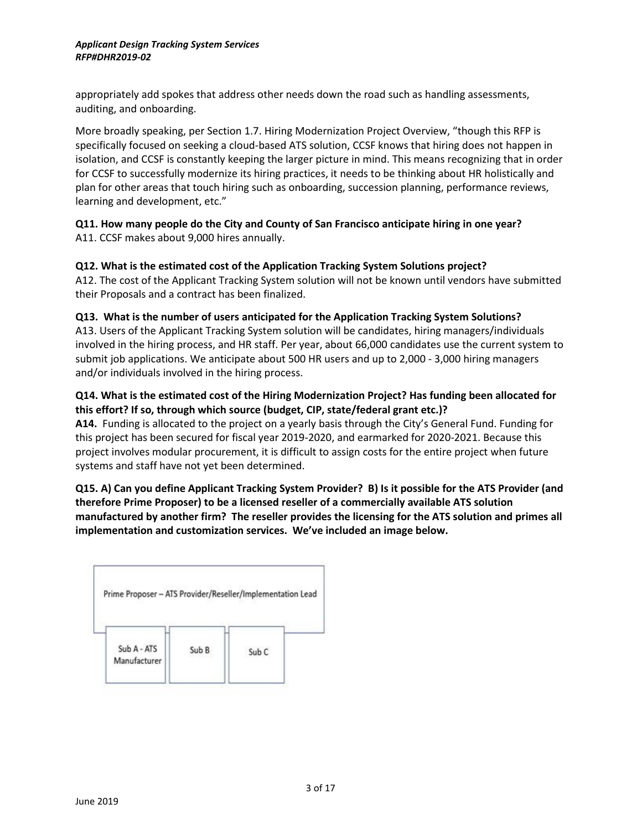appropriately add spokes that address other needs down the road such as handling assessments, auditing, and onboarding.

More broadly speaking, per Section 1.7. Hiring Modernization Project Overview, "though this RFP is specifically focused on seeking a cloud-based ATS solution, CCSF knows that hiring does not happen in isolation, and CCSF is constantly keeping the larger picture in mind. This means recognizing that in order for CCSF to successfully modernize its hiring practices, it needs to be thinking about HR holistically and plan for other areas that touch hiring such as onboarding, succession planning, performance reviews, learning and development, etc."

# **Q11. How many people do the City and County of San Francisco anticipate hiring in one year?** A11. CCSF makes about 9,000 hires annually.

# **Q12. What is the estimated cost of the Application Tracking System Solutions project?**

A12. The cost of the Applicant Tracking System solution will not be known until vendors have submitted their Proposals and a contract has been finalized.

# **Q13. What is the number of users anticipated for the Application Tracking System Solutions?**

A13. Users of the Applicant Tracking System solution will be candidates, hiring managers/individuals involved in the hiring process, and HR staff. Per year, about 66,000 candidates use the current system to submit job applications. We anticipate about 500 HR users and up to 2,000 - 3,000 hiring managers and/or individuals involved in the hiring process.

# **Q14. What is the estimated cost of the Hiring Modernization Project? Has funding been allocated for this effort? If so, through which source (budget, CIP, state/federal grant etc.)?**

**A14.** Funding is allocated to the project on a yearly basis through the City's General Fund. Funding for this project has been secured for fiscal year 2019-2020, and earmarked for 2020-2021. Because this project involves modular procurement, it is difficult to assign costs for the entire project when future systems and staff have not yet been determined.

# **Q15. A) Can you define Applicant Tracking System Provider? B) Is it possible for the ATS Provider (and therefore Prime Proposer) to be a licensed reseller of a commercially available ATS solution manufactured by another firm? The reseller provides the licensing for the ATS solution and primes all implementation and customization services. We've included an image below.**

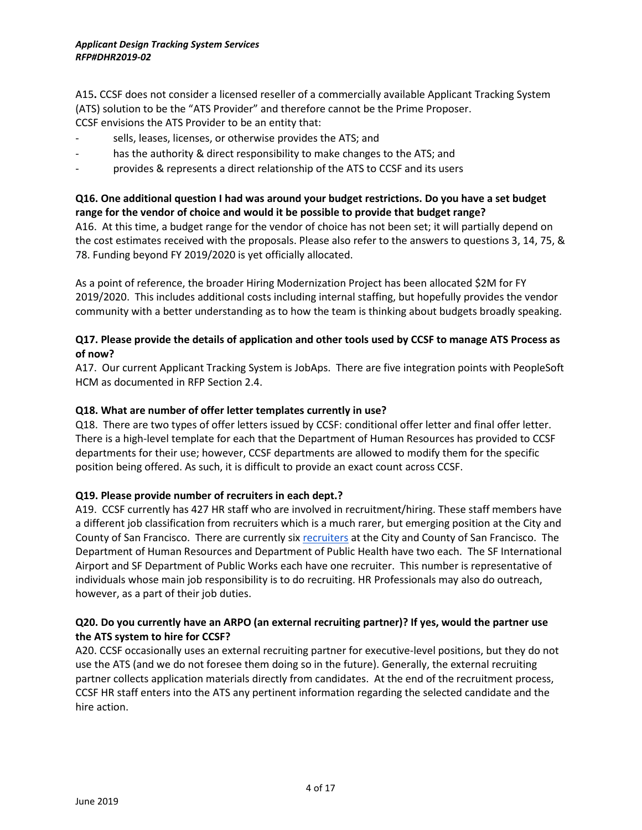A15**.** CCSF does not consider a licensed reseller of a commercially available Applicant Tracking System (ATS) solution to be the "ATS Provider" and therefore cannot be the Prime Proposer. CCSF envisions the ATS Provider to be an entity that:

- sells, leases, licenses, or otherwise provides the ATS; and
- has the authority & direct responsibility to make changes to the ATS; and
- provides & represents a direct relationship of the ATS to CCSF and its users

# **Q16. One additional question I had was around your budget restrictions. Do you have a set budget range for the vendor of choice and would it be possible to provide that budget range?**

A16. At this time, a budget range for the vendor of choice has not been set; it will partially depend on the cost estimates received with the proposals. Please also refer to the answers to questions 3, 14, 75, & 78. Funding beyond FY 2019/2020 is yet officially allocated.

As a point of reference, the broader Hiring Modernization Project has been allocated \$2M for FY 2019/2020. This includes additional costs including internal staffing, but hopefully provides the vendor community with a better understanding as to how the team is thinking about budgets broadly speaking.

# **Q17. Please provide the details of application and other tools used by CCSF to manage ATS Process as of now?**

A17. Our current Applicant Tracking System is JobAps. There are five integration points with PeopleSoft HCM as documented in RFP Section 2.4.

#### **Q18. What are number of offer letter templates currently in use?**

Q18. There are two types of offer letters issued by CCSF: conditional offer letter and final offer letter. There is a high-level template for each that the Department of Human Resources has provided to CCSF departments for their use; however, CCSF departments are allowed to modify them for the specific position being offered. As such, it is difficult to provide an exact count across CCSF.

#### **Q19. Please provide number of recruiters in each dept.?**

A19. CCSF currently has 427 HR staff who are involved in recruitment/hiring. These staff members have a different job classification from recruiters which is a much rarer, but emerging position at the City and County of San Francisco. There are currently six [recruiters](http://citidex.sfgov.org/cgi-bin/dhr/findClass.cgi?MyID=1250) at the City and County of San Francisco. The Department of Human Resources and Department of Public Health have two each. The SF International Airport and SF Department of Public Works each have one recruiter. This number is representative of individuals whose main job responsibility is to do recruiting. HR Professionals may also do outreach, however, as a part of their job duties.

# **Q20. Do you currently have an ARPO (an external recruiting partner)? If yes, would the partner use the ATS system to hire for CCSF?**

A20. CCSF occasionally uses an external recruiting partner for executive-level positions, but they do not use the ATS (and we do not foresee them doing so in the future). Generally, the external recruiting partner collects application materials directly from candidates. At the end of the recruitment process, CCSF HR staff enters into the ATS any pertinent information regarding the selected candidate and the hire action.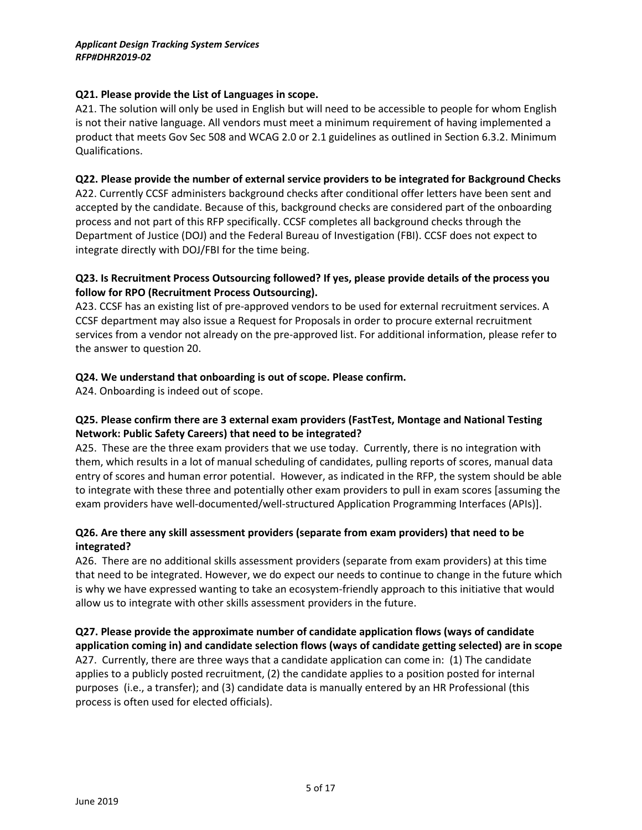# **Q21. Please provide the List of Languages in scope.**

A21. The solution will only be used in English but will need to be accessible to people for whom English is not their native language. All vendors must meet a minimum requirement of having implemented a product that meets Gov Sec 508 and WCAG 2.0 or 2.1 guidelines as outlined in Section 6.3.2. Minimum Qualifications.

# **Q22. Please provide the number of external service providers to be integrated for Background Checks**

A22. Currently CCSF administers background checks after conditional offer letters have been sent and accepted by the candidate. Because of this, background checks are considered part of the onboarding process and not part of this RFP specifically. CCSF completes all background checks through the Department of Justice (DOJ) and the Federal Bureau of Investigation (FBI). CCSF does not expect to integrate directly with DOJ/FBI for the time being.

# **Q23. Is Recruitment Process Outsourcing followed? If yes, please provide details of the process you follow for RPO (Recruitment Process Outsourcing).**

A23. CCSF has an existing list of pre-approved vendors to be used for external recruitment services. A CCSF department may also issue a Request for Proposals in order to procure external recruitment services from a vendor not already on the pre-approved list. For additional information, please refer to the answer to question 20.

# **Q24. We understand that onboarding is out of scope. Please confirm.**

A24. Onboarding is indeed out of scope.

# **Q25. Please confirm there are 3 external exam providers (FastTest, Montage and National Testing Network: Public Safety Careers) that need to be integrated?**

A25. These are the three exam providers that we use today. Currently, there is no integration with them, which results in a lot of manual scheduling of candidates, pulling reports of scores, manual data entry of scores and human error potential. However, as indicated in the RFP, the system should be able to integrate with these three and potentially other exam providers to pull in exam scores [assuming the exam providers have well-documented/well-structured Application Programming Interfaces (APIs)].

# **Q26. Are there any skill assessment providers (separate from exam providers) that need to be integrated?**

A26. There are no additional skills assessment providers (separate from exam providers) at this time that need to be integrated. However, we do expect our needs to continue to change in the future which is why we have expressed wanting to take an ecosystem-friendly approach to this initiative that would allow us to integrate with other skills assessment providers in the future.

**Q27. Please provide the approximate number of candidate application flows (ways of candidate application coming in) and candidate selection flows (ways of candidate getting selected) are in scope**  A27. Currently, there are three ways that a candidate application can come in: (1) The candidate applies to a publicly posted recruitment, (2) the candidate applies to a position posted for internal purposes (i.e., a transfer); and (3) candidate data is manually entered by an HR Professional (this process is often used for elected officials).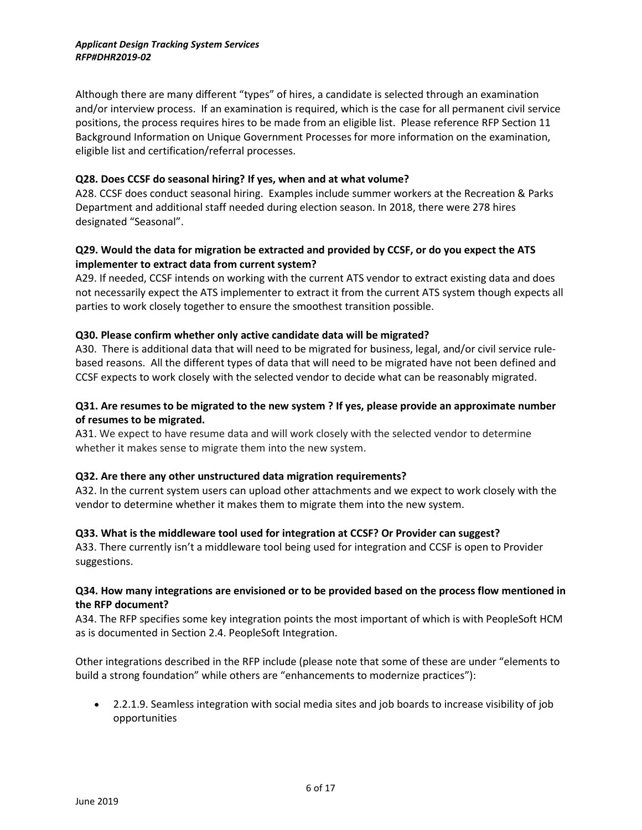Although there are many different "types" of hires, a candidate is selected through an examination and/or interview process. If an examination is required, which is the case for all permanent civil service positions, the process requires hires to be made from an eligible list. Please reference RFP Section 11 Background Information on Unique Government Processes for more information on the examination, eligible list and certification/referral processes.

#### **Q28. Does CCSF do seasonal hiring? If yes, when and at what volume?**

A28. CCSF does conduct seasonal hiring. Examples include summer workers at the Recreation & Parks Department and additional staff needed during election season. In 2018, there were 278 hires designated "Seasonal".

# **Q29. Would the data for migration be extracted and provided by CCSF, or do you expect the ATS implementer to extract data from current system?**

A29. If needed, CCSF intends on working with the current ATS vendor to extract existing data and does not necessarily expect the ATS implementer to extract it from the current ATS system though expects all parties to work closely together to ensure the smoothest transition possible.

#### **Q30. Please confirm whether only active candidate data will be migrated?**

A30. There is additional data that will need to be migrated for business, legal, and/or civil service rulebased reasons. All the different types of data that will need to be migrated have not been defined and CCSF expects to work closely with the selected vendor to decide what can be reasonably migrated.

## **Q31. Are resumes to be migrated to the new system ? If yes, please provide an approximate number of resumes to be migrated.**

A31. We expect to have resume data and will work closely with the selected vendor to determine whether it makes sense to migrate them into the new system.

#### **Q32. Are there any other unstructured data migration requirements?**

A32. In the current system users can upload other attachments and we expect to work closely with the vendor to determine whether it makes them to migrate them into the new system.

#### **Q33. What is the middleware tool used for integration at CCSF? Or Provider can suggest?**

A33. There currently isn't a middleware tool being used for integration and CCSF is open to Provider suggestions.

# **Q34. How many integrations are envisioned or to be provided based on the process flow mentioned in the RFP document?**

A34. The RFP specifies some key integration points the most important of which is with PeopleSoft HCM as is documented in Section 2.4. PeopleSoft Integration.

Other integrations described in the RFP include (please note that some of these are under "elements to build a strong foundation" while others are "enhancements to modernize practices"):

• 2.2.1.9. Seamless integration with social media sites and job boards to increase visibility of job opportunities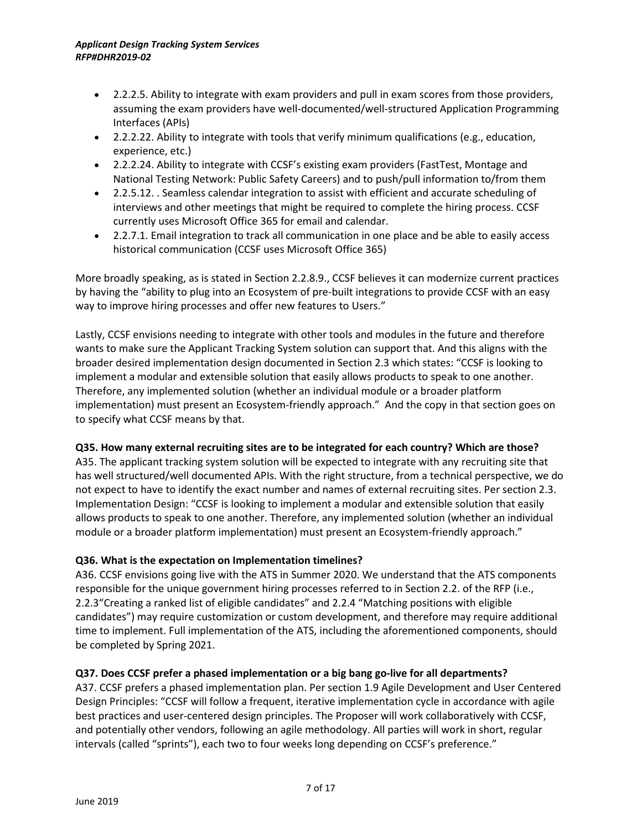- 2.2.2.5. Ability to integrate with exam providers and pull in exam scores from those providers, assuming the exam providers have well-documented/well-structured Application Programming Interfaces (APIs)
- 2.2.2.22. Ability to integrate with tools that verify minimum qualifications (e.g., education, experience, etc.)
- 2.2.2.24. Ability to integrate with CCSF's existing exam providers (FastTest, Montage and National Testing Network: Public Safety Careers) and to push/pull information to/from them
- 2.2.5.12. . Seamless calendar integration to assist with efficient and accurate scheduling of interviews and other meetings that might be required to complete the hiring process. CCSF currently uses Microsoft Office 365 for email and calendar.
- 2.2.7.1. Email integration to track all communication in one place and be able to easily access historical communication (CCSF uses Microsoft Office 365)

More broadly speaking, as is stated in Section 2.2.8.9., CCSF believes it can modernize current practices by having the "ability to plug into an Ecosystem of pre-built integrations to provide CCSF with an easy way to improve hiring processes and offer new features to Users."

Lastly, CCSF envisions needing to integrate with other tools and modules in the future and therefore wants to make sure the Applicant Tracking System solution can support that. And this aligns with the broader desired implementation design documented in Section 2.3 which states: "CCSF is looking to implement a modular and extensible solution that easily allows products to speak to one another. Therefore, any implemented solution (whether an individual module or a broader platform implementation) must present an Ecosystem-friendly approach." And the copy in that section goes on to specify what CCSF means by that.

# **Q35. How many external recruiting sites are to be integrated for each country? Which are those?**

A35. The applicant tracking system solution will be expected to integrate with any recruiting site that has well structured/well documented APIs. With the right structure, from a technical perspective, we do not expect to have to identify the exact number and names of external recruiting sites. Per section 2.3. Implementation Design: "CCSF is looking to implement a modular and extensible solution that easily allows products to speak to one another. Therefore, any implemented solution (whether an individual module or a broader platform implementation) must present an Ecosystem-friendly approach."

# **Q36. What is the expectation on Implementation timelines?**

A36. CCSF envisions going live with the ATS in Summer 2020. We understand that the ATS components responsible for the unique government hiring processes referred to in Section 2.2. of the RFP (i.e., 2.2.3"Creating a ranked list of eligible candidates" and 2.2.4 "Matching positions with eligible candidates") may require customization or custom development, and therefore may require additional time to implement. Full implementation of the ATS, including the aforementioned components, should be completed by Spring 2021.

# **Q37. Does CCSF prefer a phased implementation or a big bang go-live for all departments?**

A37. CCSF prefers a phased implementation plan. Per section 1.9 Agile Development and User Centered Design Principles: "CCSF will follow a frequent, iterative implementation cycle in accordance with agile best practices and user-centered design principles. The Proposer will work collaboratively with CCSF, and potentially other vendors, following an agile methodology. All parties will work in short, regular intervals (called "sprints"), each two to four weeks long depending on CCSF's preference."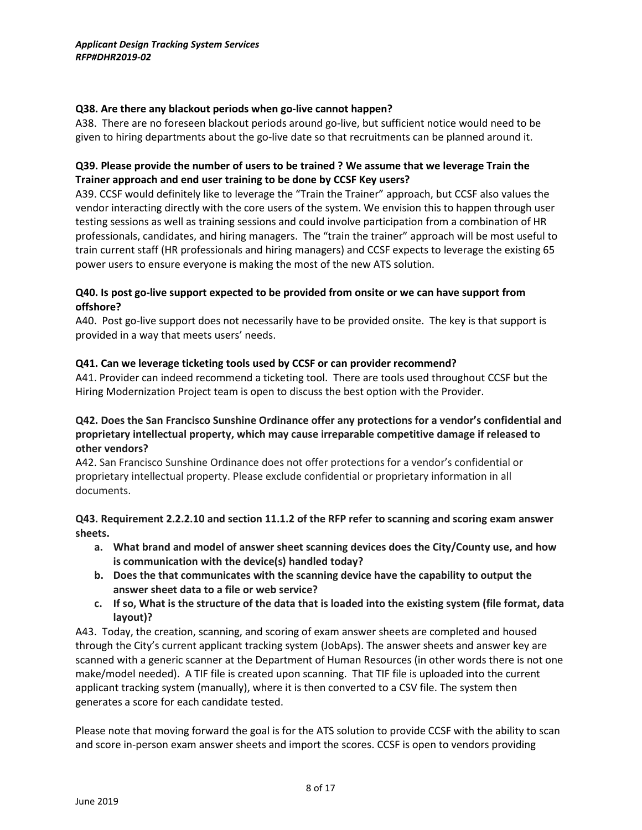#### **Q38. Are there any blackout periods when go-live cannot happen?**

A38. There are no foreseen blackout periods around go-live, but sufficient notice would need to be given to hiring departments about the go-live date so that recruitments can be planned around it.

# **Q39. Please provide the number of users to be trained ? We assume that we leverage Train the Trainer approach and end user training to be done by CCSF Key users?**

A39. CCSF would definitely like to leverage the "Train the Trainer" approach, but CCSF also values the vendor interacting directly with the core users of the system. We envision this to happen through user testing sessions as well as training sessions and could involve participation from a combination of HR professionals, candidates, and hiring managers. The "train the trainer" approach will be most useful to train current staff (HR professionals and hiring managers) and CCSF expects to leverage the existing 65 power users to ensure everyone is making the most of the new ATS solution.

# **Q40. Is post go-live support expected to be provided from onsite or we can have support from offshore?**

A40. Post go-live support does not necessarily have to be provided onsite. The key is that support is provided in a way that meets users' needs.

# **Q41. Can we leverage ticketing tools used by CCSF or can provider recommend?**

A41. Provider can indeed recommend a ticketing tool. There are tools used throughout CCSF but the Hiring Modernization Project team is open to discuss the best option with the Provider.

# **Q42. Does the San Francisco Sunshine Ordinance offer any protections for a vendor's confidential and proprietary intellectual property, which may cause irreparable competitive damage if released to other vendors?**

A42. San Francisco Sunshine Ordinance does not offer protections for a vendor's confidential or proprietary intellectual property. Please exclude confidential or proprietary information in all documents.

# **Q43. Requirement 2.2.2.10 and section 11.1.2 of the RFP refer to scanning and scoring exam answer sheets.**

- **a. What brand and model of answer sheet scanning devices does the City/County use, and how is communication with the device(s) handled today?**
- **b. Does the that communicates with the scanning device have the capability to output the answer sheet data to a file or web service?**
- **c. If so, What is the structure of the data that is loaded into the existing system (file format, data layout)?**

A43. Today, the creation, scanning, and scoring of exam answer sheets are completed and housed through the City's current applicant tracking system (JobAps). The answer sheets and answer key are scanned with a generic scanner at the Department of Human Resources (in other words there is not one make/model needed). A TIF file is created upon scanning. That TIF file is uploaded into the current applicant tracking system (manually), where it is then converted to a CSV file. The system then generates a score for each candidate tested.

Please note that moving forward the goal is for the ATS solution to provide CCSF with the ability to scan and score in-person exam answer sheets and import the scores. CCSF is open to vendors providing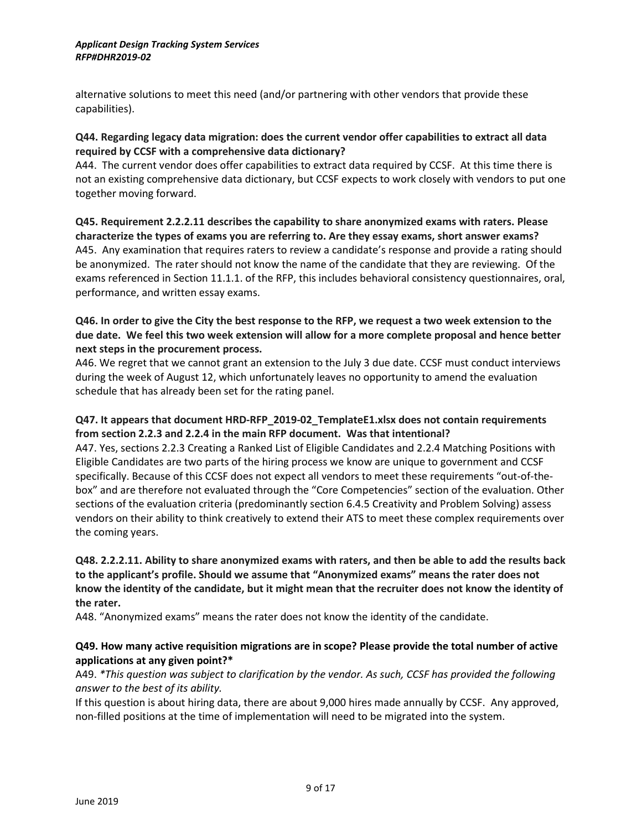alternative solutions to meet this need (and/or partnering with other vendors that provide these capabilities).

#### **Q44. Regarding legacy data migration: does the current vendor offer capabilities to extract all data required by CCSF with a comprehensive data dictionary?**

A44. The current vendor does offer capabilities to extract data required by CCSF. At this time there is not an existing comprehensive data dictionary, but CCSF expects to work closely with vendors to put one together moving forward.

**Q45. Requirement 2.2.2.11 describes the capability to share anonymized exams with raters. Please characterize the types of exams you are referring to. Are they essay exams, short answer exams?** A45. Any examination that requires raters to review a candidate's response and provide a rating should be anonymized. The rater should not know the name of the candidate that they are reviewing. Of the exams referenced in Section 11.1.1. of the RFP, this includes behavioral consistency questionnaires, oral, performance, and written essay exams.

# **Q46. In order to give the City the best response to the RFP, we request a two week extension to the due date. We feel this two week extension will allow for a more complete proposal and hence better next steps in the procurement process.**

A46. We regret that we cannot grant an extension to the July 3 due date. CCSF must conduct interviews during the week of August 12, which unfortunately leaves no opportunity to amend the evaluation schedule that has already been set for the rating panel.

# **Q47. It appears that document HRD-RFP\_2019-02\_TemplateE1.xlsx does not contain requirements from section 2.2.3 and 2.2.4 in the main RFP document. Was that intentional?**

A47. Yes, sections 2.2.3 Creating a Ranked List of Eligible Candidates and 2.2.4 Matching Positions with Eligible Candidates are two parts of the hiring process we know are unique to government and CCSF specifically. Because of this CCSF does not expect all vendors to meet these requirements "out-of-thebox" and are therefore not evaluated through the "Core Competencies" section of the evaluation. Other sections of the evaluation criteria (predominantly section 6.4.5 Creativity and Problem Solving) assess vendors on their ability to think creatively to extend their ATS to meet these complex requirements over the coming years.

# **Q48. 2.2.2.11. Ability to share anonymized exams with raters, and then be able to add the results back to the applicant's profile. Should we assume that "Anonymized exams" means the rater does not know the identity of the candidate, but it might mean that the recruiter does not know the identity of the rater.**

A48. "Anonymized exams" means the rater does not know the identity of the candidate.

# **Q49. How many active requisition migrations are in scope? Please provide the total number of active applications at any given point?\***

# A49. *\*This question was subject to clarification by the vendor. As such, CCSF has provided the following answer to the best of its ability.*

If this question is about hiring data, there are about 9,000 hires made annually by CCSF. Any approved, non-filled positions at the time of implementation will need to be migrated into the system.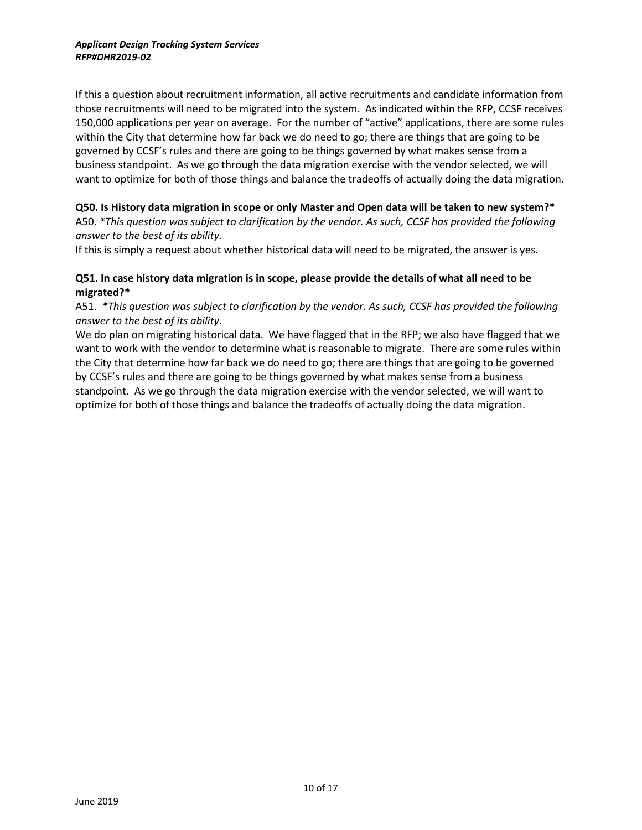If this a question about recruitment information, all active recruitments and candidate information from those recruitments will need to be migrated into the system. As indicated within the RFP, CCSF receives 150,000 applications per year on average. For the number of "active" applications, there are some rules within the City that determine how far back we do need to go; there are things that are going to be governed by CCSF's rules and there are going to be things governed by what makes sense from a business standpoint. As we go through the data migration exercise with the vendor selected, we will want to optimize for both of those things and balance the tradeoffs of actually doing the data migration.

#### **Q50. Is History data migration in scope or only Master and Open data will be taken to new system?\***

A50. *\*This question was subject to clarification by the vendor. As such, CCSF has provided the following answer to the best of its ability.*

If this is simply a request about whether historical data will need to be migrated, the answer is yes.

#### **Q51. In case history data migration is in scope, please provide the details of what all need to be migrated?\***

A51. *\*This question was subject to clarification by the vendor. As such, CCSF has provided the following answer to the best of its ability.*

We do plan on migrating historical data. We have flagged that in the RFP; we also have flagged that we want to work with the vendor to determine what is reasonable to migrate. There are some rules within the City that determine how far back we do need to go; there are things that are going to be governed by CCSF's rules and there are going to be things governed by what makes sense from a business standpoint. As we go through the data migration exercise with the vendor selected, we will want to optimize for both of those things and balance the tradeoffs of actually doing the data migration.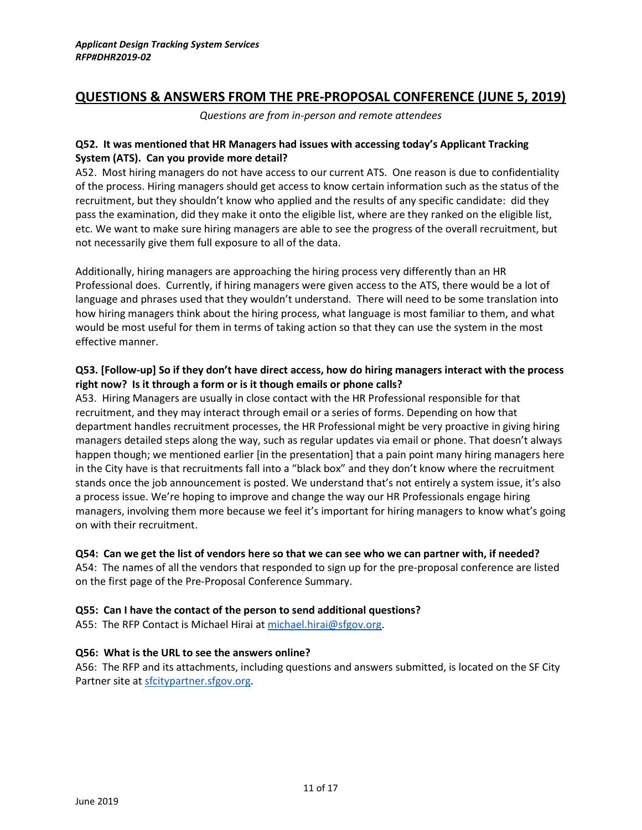# **QUESTIONS & ANSWERS FROM THE PRE-PROPOSAL CONFERENCE (JUNE 5, 2019)**

*Questions are from in-person and remote attendees*

## **Q52. It was mentioned that HR Managers had issues with accessing today's Applicant Tracking System (ATS). Can you provide more detail?**

A52. Most hiring managers do not have access to our current ATS. One reason is due to confidentiality of the process. Hiring managers should get access to know certain information such as the status of the recruitment, but they shouldn't know who applied and the results of any specific candidate: did they pass the examination, did they make it onto the eligible list, where are they ranked on the eligible list, etc. We want to make sure hiring managers are able to see the progress of the overall recruitment, but not necessarily give them full exposure to all of the data.

Additionally, hiring managers are approaching the hiring process very differently than an HR Professional does. Currently, if hiring managers were given access to the ATS, there would be a lot of language and phrases used that they wouldn't understand. There will need to be some translation into how hiring managers think about the hiring process, what language is most familiar to them, and what would be most useful for them in terms of taking action so that they can use the system in the most effective manner.

# **Q53. [Follow-up] So if they don't have direct access, how do hiring managers interact with the process right now? Is it through a form or is it though emails or phone calls?**

A53. Hiring Managers are usually in close contact with the HR Professional responsible for that recruitment, and they may interact through email or a series of forms. Depending on how that department handles recruitment processes, the HR Professional might be very proactive in giving hiring managers detailed steps along the way, such as regular updates via email or phone. That doesn't always happen though; we mentioned earlier [in the presentation] that a pain point many hiring managers here in the City have is that recruitments fall into a "black box" and they don't know where the recruitment stands once the job announcement is posted. We understand that's not entirely a system issue, it's also a process issue. We're hoping to improve and change the way our HR Professionals engage hiring managers, involving them more because we feel it's important for hiring managers to know what's going on with their recruitment.

#### **Q54: Can we get the list of vendors here so that we can see who we can partner with, if needed?**

A54: The names of all the vendors that responded to sign up for the pre-proposal conference are listed on the first page of the Pre-Proposal Conference Summary.

#### **Q55: Can I have the contact of the person to send additional questions?**

A55: The RFP Contact is Michael Hirai at [michael.hirai@sfgov.org.](mailto:michael.hirai@sfgov.org)

#### **Q56: What is the URL to see the answers online?**

A56: The RFP and its attachments, including questions and answers submitted, is located on the SF City Partner site at [sfcitypartner.sfgov.org.](https://sfcitypartner.sfgov.org/)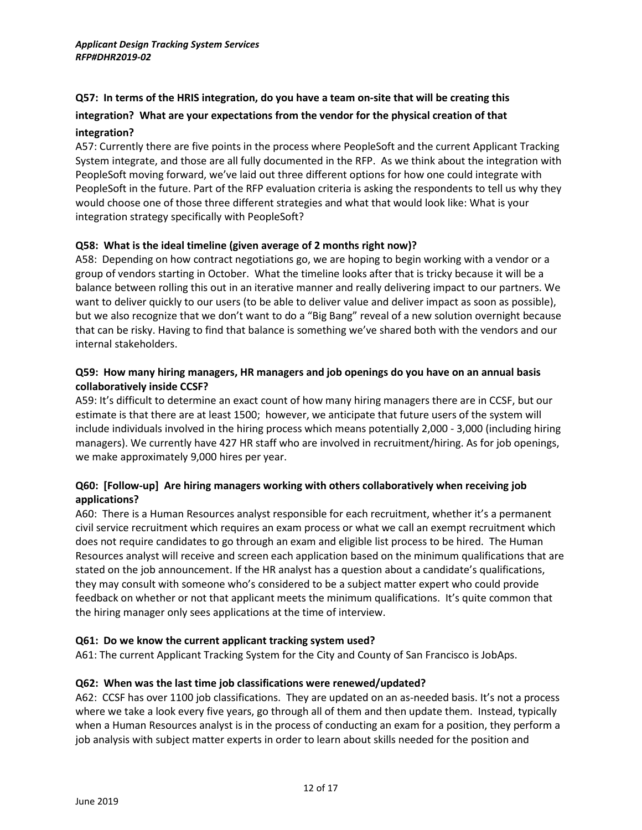# **Q57: In terms of the HRIS integration, do you have a team on-site that will be creating this**

# **integration? What are your expectations from the vendor for the physical creation of that**

#### **integration?**

A57: Currently there are five points in the process where PeopleSoft and the current Applicant Tracking System integrate, and those are all fully documented in the RFP. As we think about the integration with PeopleSoft moving forward, we've laid out three different options for how one could integrate with PeopleSoft in the future. Part of the RFP evaluation criteria is asking the respondents to tell us why they would choose one of those three different strategies and what that would look like: What is your integration strategy specifically with PeopleSoft?

# **Q58: What is the ideal timeline (given average of 2 months right now)?**

A58: Depending on how contract negotiations go, we are hoping to begin working with a vendor or a group of vendors starting in October. What the timeline looks after that is tricky because it will be a balance between rolling this out in an iterative manner and really delivering impact to our partners. We want to deliver quickly to our users (to be able to deliver value and deliver impact as soon as possible), but we also recognize that we don't want to do a "Big Bang" reveal of a new solution overnight because that can be risky. Having to find that balance is something we've shared both with the vendors and our internal stakeholders.

# **Q59: How many hiring managers, HR managers and job openings do you have on an annual basis collaboratively inside CCSF?**

A59: It's difficult to determine an exact count of how many hiring managers there are in CCSF, but our estimate is that there are at least 1500; however, we anticipate that future users of the system will include individuals involved in the hiring process which means potentially 2,000 - 3,000 (including hiring managers). We currently have 427 HR staff who are involved in recruitment/hiring. As for job openings, we make approximately 9,000 hires per year.

# **Q60: [Follow-up] Are hiring managers working with others collaboratively when receiving job applications?**

A60: There is a Human Resources analyst responsible for each recruitment, whether it's a permanent civil service recruitment which requires an exam process or what we call an exempt recruitment which does not require candidates to go through an exam and eligible list process to be hired. The Human Resources analyst will receive and screen each application based on the minimum qualifications that are stated on the job announcement. If the HR analyst has a question about a candidate's qualifications, they may consult with someone who's considered to be a subject matter expert who could provide feedback on whether or not that applicant meets the minimum qualifications. It's quite common that the hiring manager only sees applications at the time of interview.

# **Q61: Do we know the current applicant tracking system used?**

A61: The current Applicant Tracking System for the City and County of San Francisco is JobAps.

#### **Q62: When was the last time job classifications were renewed/updated?**

A62: CCSF has over 1100 job classifications. They are updated on an as-needed basis. It's not a process where we take a look every five years, go through all of them and then update them. Instead, typically when a Human Resources analyst is in the process of conducting an exam for a position, they perform a job analysis with subject matter experts in order to learn about skills needed for the position and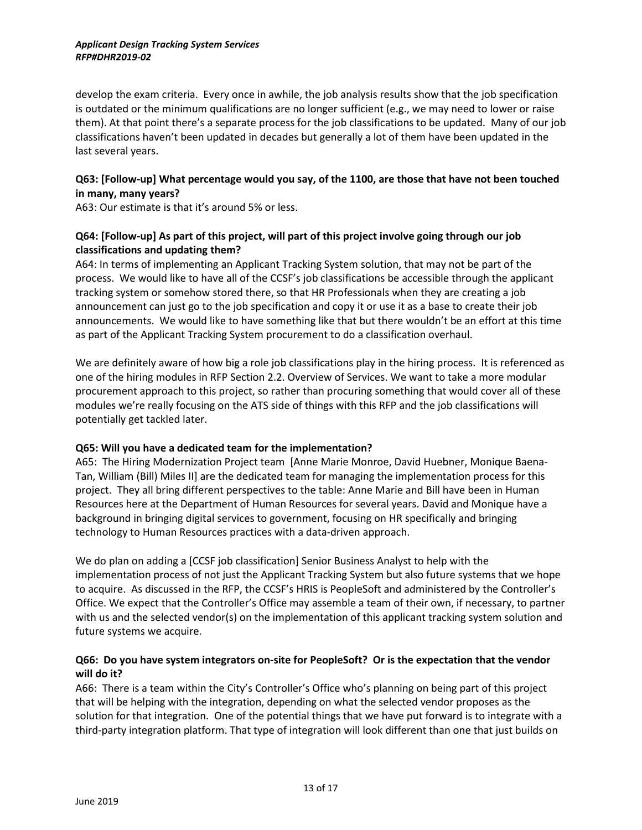develop the exam criteria. Every once in awhile, the job analysis results show that the job specification is outdated or the minimum qualifications are no longer sufficient (e.g., we may need to lower or raise them). At that point there's a separate process for the job classifications to be updated. Many of our job classifications haven't been updated in decades but generally a lot of them have been updated in the last several years.

# **Q63: [Follow-up] What percentage would you say, of the 1100, are those that have not been touched in many, many years?**

A63: Our estimate is that it's around 5% or less.

# **Q64: [Follow-up] As part of this project, will part of this project involve going through our job classifications and updating them?**

A64: In terms of implementing an Applicant Tracking System solution, that may not be part of the process. We would like to have all of the CCSF's job classifications be accessible through the applicant tracking system or somehow stored there, so that HR Professionals when they are creating a job announcement can just go to the job specification and copy it or use it as a base to create their job announcements. We would like to have something like that but there wouldn't be an effort at this time as part of the Applicant Tracking System procurement to do a classification overhaul.

We are definitely aware of how big a role job classifications play in the hiring process. It is referenced as one of the hiring modules in RFP Section 2.2. Overview of Services. We want to take a more modular procurement approach to this project, so rather than procuring something that would cover all of these modules we're really focusing on the ATS side of things with this RFP and the job classifications will potentially get tackled later.

# **Q65: Will you have a dedicated team for the implementation?**

A65: The Hiring Modernization Project team [Anne Marie Monroe, David Huebner, Monique Baena-Tan, William (Bill) Miles II] are the dedicated team for managing the implementation process for this project. They all bring different perspectives to the table: Anne Marie and Bill have been in Human Resources here at the Department of Human Resources for several years. David and Monique have a background in bringing digital services to government, focusing on HR specifically and bringing technology to Human Resources practices with a data-driven approach.

We do plan on adding a [CCSF job classification] Senior Business Analyst to help with the implementation process of not just the Applicant Tracking System but also future systems that we hope to acquire. As discussed in the RFP, the CCSF's HRIS is PeopleSoft and administered by the Controller's Office. We expect that the Controller's Office may assemble a team of their own, if necessary, to partner with us and the selected vendor(s) on the implementation of this applicant tracking system solution and future systems we acquire.

# **Q66: Do you have system integrators on-site for PeopleSoft? Or is the expectation that the vendor will do it?**

A66: There is a team within the City's Controller's Office who's planning on being part of this project that will be helping with the integration, depending on what the selected vendor proposes as the solution for that integration. One of the potential things that we have put forward is to integrate with a third-party integration platform. That type of integration will look different than one that just builds on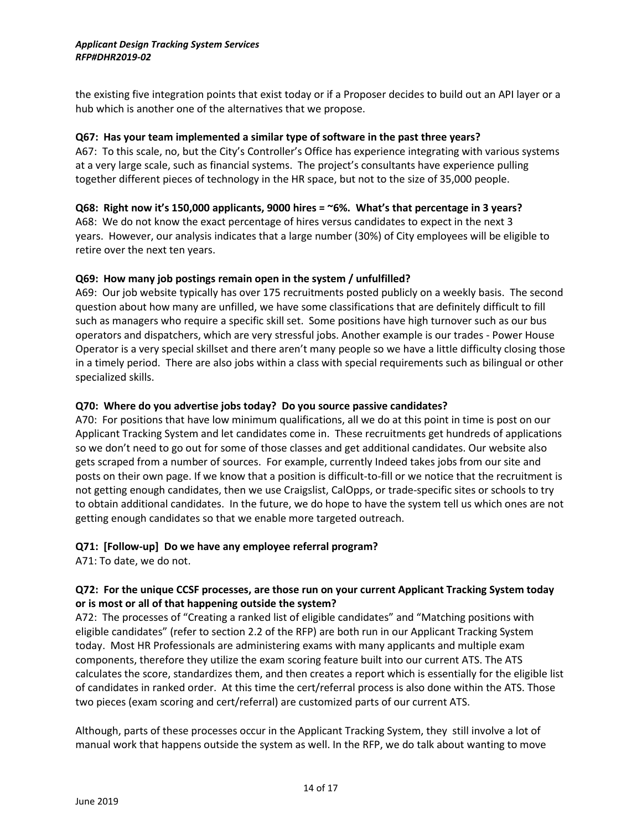the existing five integration points that exist today or if a Proposer decides to build out an API layer or a hub which is another one of the alternatives that we propose.

#### **Q67: Has your team implemented a similar type of software in the past three years?**

A67: To this scale, no, but the City's Controller's Office has experience integrating with various systems at a very large scale, such as financial systems. The project's consultants have experience pulling together different pieces of technology in the HR space, but not to the size of 35,000 people.

#### **Q68: Right now it's 150,000 applicants, 9000 hires = ~6%. What's that percentage in 3 years?**

A68: We do not know the exact percentage of hires versus candidates to expect in the next 3 years. However, our analysis indicates that a large number (30%) of City employees will be eligible to retire over the next ten years.

#### **Q69: How many job postings remain open in the system / unfulfilled?**

A69: Our job website typically has over 175 recruitments posted publicly on a weekly basis. The second question about how many are unfilled, we have some classifications that are definitely difficult to fill such as managers who require a specific skill set. Some positions have high turnover such as our bus operators and dispatchers, which are very stressful jobs. Another example is our trades - Power House Operator is a very special skillset and there aren't many people so we have a little difficulty closing those in a timely period. There are also jobs within a class with special requirements such as bilingual or other specialized skills.

#### **Q70: Where do you advertise jobs today? Do you source passive candidates?**

A70: For positions that have low minimum qualifications, all we do at this point in time is post on our Applicant Tracking System and let candidates come in. These recruitments get hundreds of applications so we don't need to go out for some of those classes and get additional candidates. Our website also gets scraped from a number of sources. For example, currently Indeed takes jobs from our site and posts on their own page. If we know that a position is difficult-to-fill or we notice that the recruitment is not getting enough candidates, then we use Craigslist, CalOpps, or trade-specific sites or schools to try to obtain additional candidates. In the future, we do hope to have the system tell us which ones are not getting enough candidates so that we enable more targeted outreach.

#### **Q71: [Follow-up] Do we have any employee referral program?**

A71: To date, we do not.

#### **Q72: For the unique CCSF processes, are those run on your current Applicant Tracking System today or is most or all of that happening outside the system?**

A72: The processes of "Creating a ranked list of eligible candidates" and "Matching positions with eligible candidates" (refer to section 2.2 of the RFP) are both run in our Applicant Tracking System today. Most HR Professionals are administering exams with many applicants and multiple exam components, therefore they utilize the exam scoring feature built into our current ATS. The ATS calculates the score, standardizes them, and then creates a report which is essentially for the eligible list of candidates in ranked order. At this time the cert/referral process is also done within the ATS. Those two pieces (exam scoring and cert/referral) are customized parts of our current ATS.

Although, parts of these processes occur in the Applicant Tracking System, they still involve a lot of manual work that happens outside the system as well. In the RFP, we do talk about wanting to move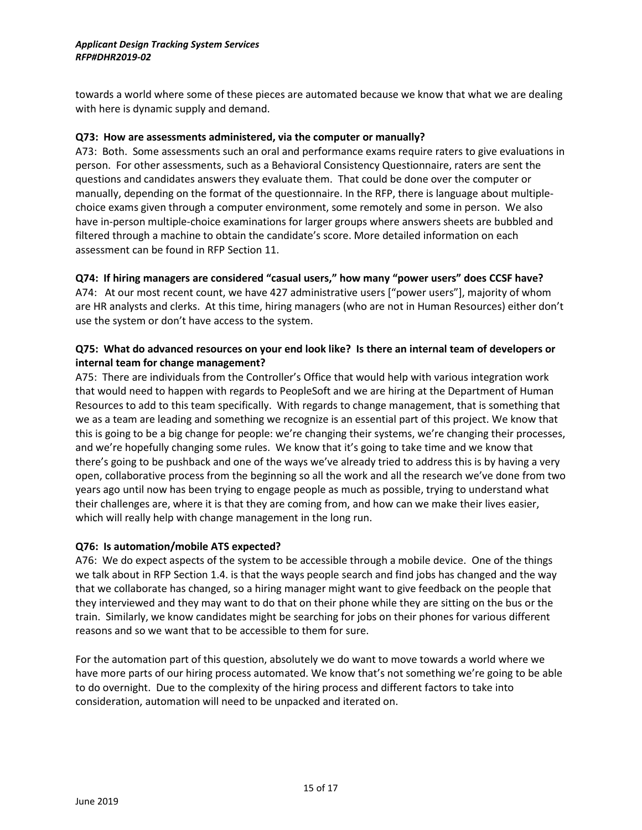towards a world where some of these pieces are automated because we know that what we are dealing with here is dynamic supply and demand.

#### **Q73: How are assessments administered, via the computer or manually?**

A73: Both. Some assessments such an oral and performance exams require raters to give evaluations in person. For other assessments, such as a Behavioral Consistency Questionnaire, raters are sent the questions and candidates answers they evaluate them. That could be done over the computer or manually, depending on the format of the questionnaire. In the RFP, there is language about multiplechoice exams given through a computer environment, some remotely and some in person. We also have in-person multiple-choice examinations for larger groups where answers sheets are bubbled and filtered through a machine to obtain the candidate's score. More detailed information on each assessment can be found in RFP Section 11.

# **Q74: If hiring managers are considered "casual users," how many "power users" does CCSF have?**

A74: At our most recent count, we have 427 administrative users ["power users"], majority of whom are HR analysts and clerks. At this time, hiring managers (who are not in Human Resources) either don't use the system or don't have access to the system.

# **Q75: What do advanced resources on your end look like? Is there an internal team of developers or internal team for change management?**

A75: There are individuals from the Controller's Office that would help with various integration work that would need to happen with regards to PeopleSoft and we are hiring at the Department of Human Resources to add to this team specifically. With regards to change management, that is something that we as a team are leading and something we recognize is an essential part of this project. We know that this is going to be a big change for people: we're changing their systems, we're changing their processes, and we're hopefully changing some rules. We know that it's going to take time and we know that there's going to be pushback and one of the ways we've already tried to address this is by having a very open, collaborative process from the beginning so all the work and all the research we've done from two years ago until now has been trying to engage people as much as possible, trying to understand what their challenges are, where it is that they are coming from, and how can we make their lives easier, which will really help with change management in the long run.

#### **Q76: Is automation/mobile ATS expected?**

A76: We do expect aspects of the system to be accessible through a mobile device. One of the things we talk about in RFP Section 1.4. is that the ways people search and find jobs has changed and the way that we collaborate has changed, so a hiring manager might want to give feedback on the people that they interviewed and they may want to do that on their phone while they are sitting on the bus or the train. Similarly, we know candidates might be searching for jobs on their phones for various different reasons and so we want that to be accessible to them for sure.

For the automation part of this question, absolutely we do want to move towards a world where we have more parts of our hiring process automated. We know that's not something we're going to be able to do overnight. Due to the complexity of the hiring process and different factors to take into consideration, automation will need to be unpacked and iterated on.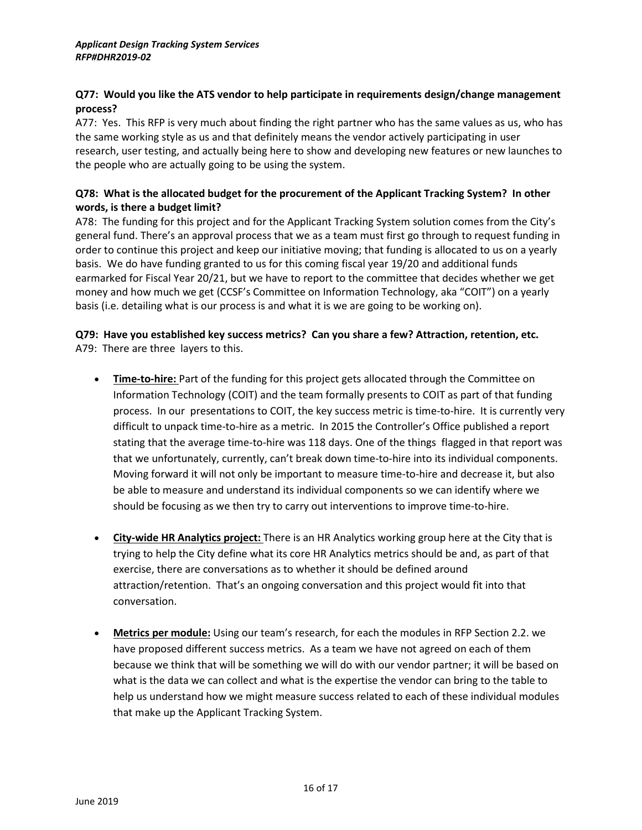# **Q77: Would you like the ATS vendor to help participate in requirements design/change management process?**

A77: Yes. This RFP is very much about finding the right partner who has the same values as us, who has the same working style as us and that definitely means the vendor actively participating in user research, user testing, and actually being here to show and developing new features or new launches to the people who are actually going to be using the system.

# **Q78: What is the allocated budget for the procurement of the Applicant Tracking System? In other words, is there a budget limit?**

A78: The funding for this project and for the Applicant Tracking System solution comes from the City's general fund. There's an approval process that we as a team must first go through to request funding in order to continue this project and keep our initiative moving; that funding is allocated to us on a yearly basis. We do have funding granted to us for this coming fiscal year 19/20 and additional funds earmarked for Fiscal Year 20/21, but we have to report to the committee that decides whether we get money and how much we get (CCSF's Committee on Information Technology, aka "COIT") on a yearly basis (i.e. detailing what is our process is and what it is we are going to be working on).

# **Q79: Have you established key success metrics? Can you share a few? Attraction, retention, etc.** A79: There are three layers to this.

- **Time-to-hire:** Part of the funding for this project gets allocated through the Committee on Information Technology (COIT) and the team formally presents to COIT as part of that funding process. In our presentations to COIT, the key success metric is time-to-hire. It is currently very difficult to unpack time-to-hire as a metric. In 2015 the Controller's Office published a report stating that the average time-to-hire was 118 days. One of the things flagged in that report was that we unfortunately, currently, can't break down time-to-hire into its individual components. Moving forward it will not only be important to measure time-to-hire and decrease it, but also be able to measure and understand its individual components so we can identify where we should be focusing as we then try to carry out interventions to improve time-to-hire.
- **City-wide HR Analytics project:** There is an HR Analytics working group here at the City that is trying to help the City define what its core HR Analytics metrics should be and, as part of that exercise, there are conversations as to whether it should be defined around attraction/retention. That's an ongoing conversation and this project would fit into that conversation.
- **Metrics per module:** Using our team's research, for each the modules in RFP Section 2.2. we have proposed different success metrics. As a team we have not agreed on each of them because we think that will be something we will do with our vendor partner; it will be based on what is the data we can collect and what is the expertise the vendor can bring to the table to help us understand how we might measure success related to each of these individual modules that make up the Applicant Tracking System.